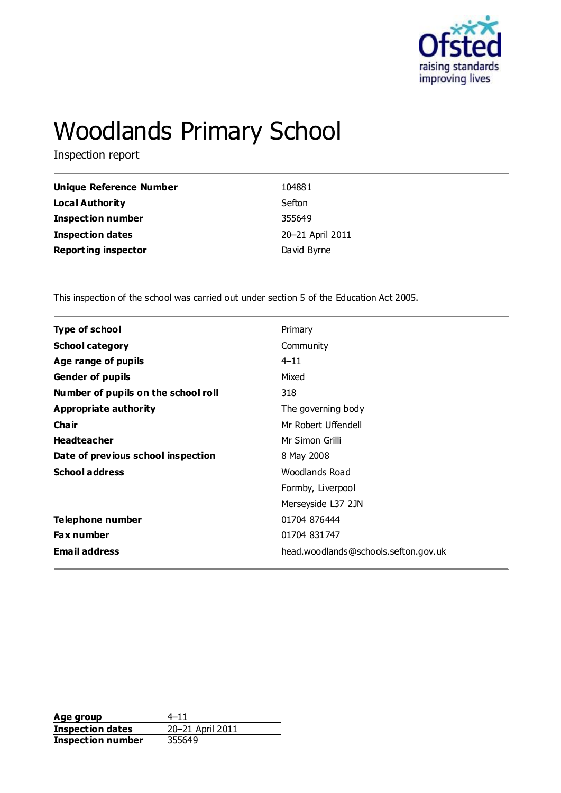

# Woodlands Primary School

Inspection report

| Unique Reference Number    | 104881           |
|----------------------------|------------------|
| <b>Local Authority</b>     | Sefton           |
| Inspection number          | 355649           |
| <b>Inspection dates</b>    | 20-21 April 2011 |
| <b>Reporting inspector</b> | David Byrne      |

This inspection of the school was carried out under section 5 of the Education Act 2005.

| <b>Type of school</b>               | Primary                              |
|-------------------------------------|--------------------------------------|
| <b>School category</b>              | Community                            |
| Age range of pupils                 | $4 - 11$                             |
| <b>Gender of pupils</b>             | Mixed                                |
| Number of pupils on the school roll | 318                                  |
| Appropriate authority               | The governing body                   |
| Cha ir                              | Mr Robert Uffendell                  |
| <b>Headteacher</b>                  | Mr Simon Grilli                      |
| Date of previous school inspection  | 8 May 2008                           |
| <b>School address</b>               | Woodlands Road                       |
|                                     | Formby, Liverpool                    |
|                                     | Merseyside L37 2JN                   |
| Telephone number                    | 01704 876444                         |
| <b>Fax number</b>                   | 01704 831747                         |
| <b>Email address</b>                | head.woodlands@schools.sefton.gov.uk |
|                                     |                                      |

**Age group**  $4-11$ <br> **Inspection dates**  $20-21$  April 2011 **Inspection dates Inspection number** 355649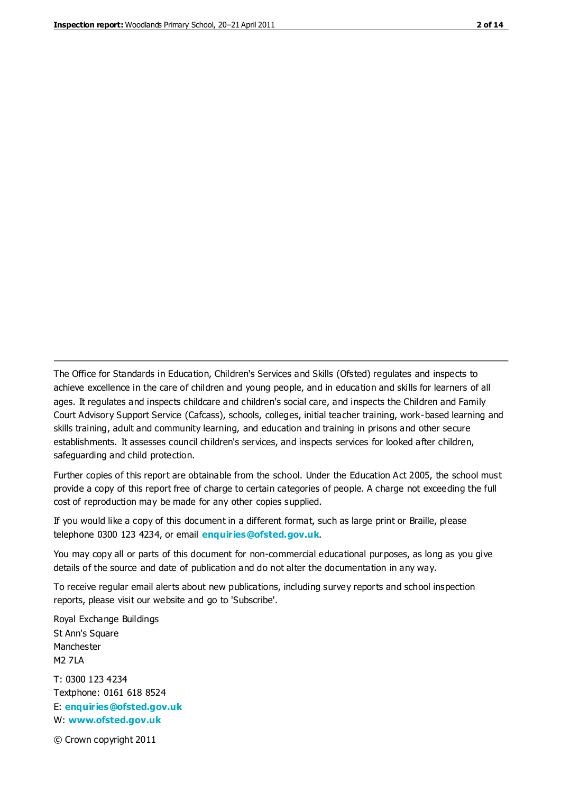The Office for Standards in Education, Children's Services and Skills (Ofsted) regulates and inspects to achieve excellence in the care of children and young people, and in education and skills for learners of all ages. It regulates and inspects childcare and children's social care, and inspects the Children and Family Court Advisory Support Service (Cafcass), schools, colleges, initial teacher training, work-based learning and skills training, adult and community learning, and education and training in prisons and other secure establishments. It assesses council children's services, and inspects services for looked after children, safeguarding and child protection.

Further copies of this report are obtainable from the school. Under the Education Act 2005, the school must provide a copy of this report free of charge to certain categories of people. A charge not exceeding the full cost of reproduction may be made for any other copies supplied.

If you would like a copy of this document in a different format, such as large print or Braille, please telephone 0300 123 4234, or email **[enquiries@ofsted.gov.uk](mailto:enquiries@ofsted.gov.uk)**.

You may copy all or parts of this document for non-commercial educational purposes, as long as you give details of the source and date of publication and do not alter the documentation in any way.

To receive regular email alerts about new publications, including survey reports and school inspection reports, please visit our website and go to 'Subscribe'.

Royal Exchange Buildings St Ann's Square Manchester M2 7LA T: 0300 123 4234 Textphone: 0161 618 8524 E: **[enquiries@ofsted.gov.uk](mailto:enquiries@ofsted.gov.uk)**

W: **[www.ofsted.gov.uk](http://www.ofsted.gov.uk/)**

© Crown copyright 2011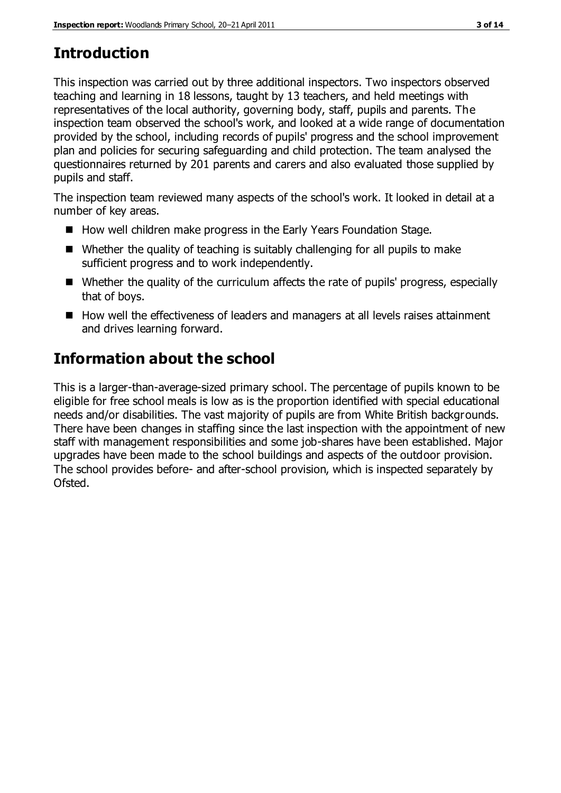## **Introduction**

This inspection was carried out by three additional inspectors. Two inspectors observed teaching and learning in 18 lessons, taught by 13 teachers, and held meetings with representatives of the local authority, governing body, staff, pupils and parents. The inspection team observed the school's work, and looked at a wide range of documentation provided by the school, including records of pupils' progress and the school improvement plan and policies for securing safeguarding and child protection. The team analysed the questionnaires returned by 201 parents and carers and also evaluated those supplied by pupils and staff.

The inspection team reviewed many aspects of the school's work. It looked in detail at a number of key areas.

- How well children make progress in the Early Years Foundation Stage.
- Whether the quality of teaching is suitably challenging for all pupils to make sufficient progress and to work independently.
- Whether the quality of the curriculum affects the rate of pupils' progress, especially that of boys.
- How well the effectiveness of leaders and managers at all levels raises attainment and drives learning forward.

## **Information about the school**

This is a larger-than-average-sized primary school. The percentage of pupils known to be eligible for free school meals is low as is the proportion identified with special educational needs and/or disabilities. The vast majority of pupils are from White British backgrounds. There have been changes in staffing since the last inspection with the appointment of new staff with management responsibilities and some job-shares have been established. Major upgrades have been made to the school buildings and aspects of the outdoor provision. The school provides before- and after-school provision, which is inspected separately by Ofsted.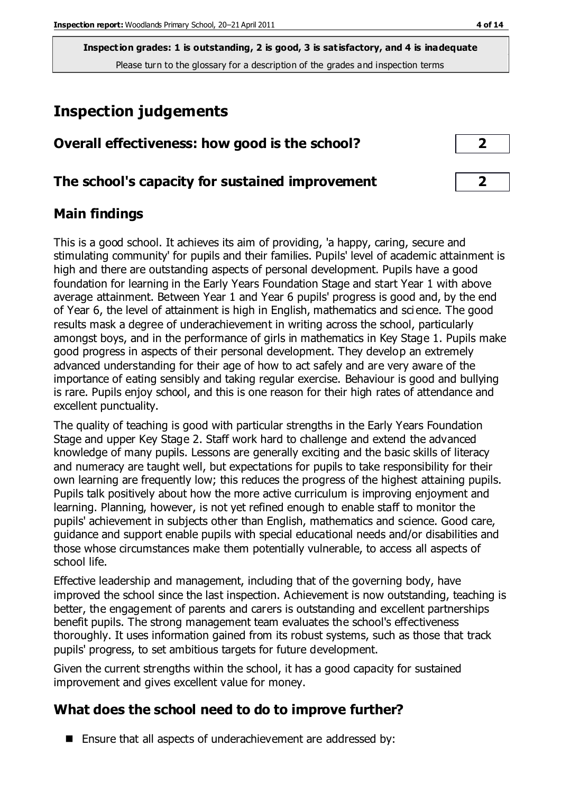## **Inspection judgements**

| Overall effectiveness: how good is the school? |  |
|------------------------------------------------|--|
|------------------------------------------------|--|

## **The school's capacity for sustained improvement 2**

## **Main findings**

This is a good school. It achieves its aim of providing, 'a happy, caring, secure and stimulating community' for pupils and their families. Pupils' level of academic attainment is high and there are outstanding aspects of personal development. Pupils have a good foundation for learning in the Early Years Foundation Stage and start Year 1 with above average attainment. Between Year 1 and Year 6 pupils' progress is good and, by the end of Year 6, the level of attainment is high in English, mathematics and sci ence. The good results mask a degree of underachievement in writing across the school, particularly amongst boys, and in the performance of girls in mathematics in Key Stage 1. Pupils make good progress in aspects of their personal development. They develop an extremely advanced understanding for their age of how to act safely and are very aware of the importance of eating sensibly and taking regular exercise. Behaviour is good and bullying is rare. Pupils enjoy school, and this is one reason for their high rates of attendance and excellent punctuality.

The quality of teaching is good with particular strengths in the Early Years Foundation Stage and upper Key Stage 2. Staff work hard to challenge and extend the advanced knowledge of many pupils. Lessons are generally exciting and the basic skills of literacy and numeracy are taught well, but expectations for pupils to take responsibility for their own learning are frequently low; this reduces the progress of the highest attaining pupils. Pupils talk positively about how the more active curriculum is improving enjoyment and learning. Planning, however, is not yet refined enough to enable staff to monitor the pupils' achievement in subjects other than English, mathematics and science. Good care, guidance and support enable pupils with special educational needs and/or disabilities and those whose circumstances make them potentially vulnerable, to access all aspects of school life.

Effective leadership and management, including that of the governing body, have improved the school since the last inspection. Achievement is now outstanding, teaching is better, the engagement of parents and carers is outstanding and excellent partnerships benefit pupils. The strong management team evaluates the school's effectiveness thoroughly. It uses information gained from its robust systems, such as those that track pupils' progress, to set ambitious targets for future development.

Given the current strengths within the school, it has a good capacity for sustained improvement and gives excellent value for money.

## **What does the school need to do to improve further?**

■ Ensure that all aspects of underachievement are addressed by: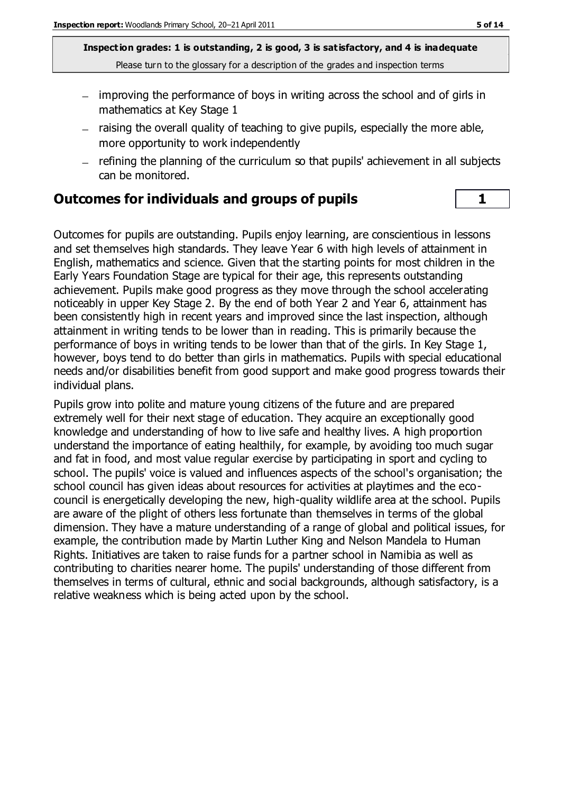- improving the performance of boys in writing across the school and of girls in mathematics at Key Stage 1
- raising the overall quality of teaching to give pupils, especially the more able, more opportunity to work independently
- refining the planning of the curriculum so that pupils' achievement in all subjects can be monitored.

#### **Outcomes for individuals and groups of pupils 1**

Outcomes for pupils are outstanding. Pupils enjoy learning, are conscientious in lessons and set themselves high standards. They leave Year 6 with high levels of attainment in English, mathematics and science. Given that the starting points for most children in the Early Years Foundation Stage are typical for their age, this represents outstanding achievement. Pupils make good progress as they move through the school accelerating noticeably in upper Key Stage 2. By the end of both Year 2 and Year 6, attainment has been consistently high in recent years and improved since the last inspection, although attainment in writing tends to be lower than in reading. This is primarily because the performance of boys in writing tends to be lower than that of the girls. In Key Stage 1, however, boys tend to do better than girls in mathematics. Pupils with special educational needs and/or disabilities benefit from good support and make good progress towards their individual plans.

Pupils grow into polite and mature young citizens of the future and are prepared extremely well for their next stage of education. They acquire an exceptionally good knowledge and understanding of how to live safe and healthy lives. A high proportion understand the importance of eating healthily, for example, by avoiding too much sugar and fat in food, and most value regular exercise by participating in sport and cycling to school. The pupils' voice is valued and influences aspects of the school's organisation; the school council has given ideas about resources for activities at playtimes and the ecocouncil is energetically developing the new, high-quality wildlife area at the school. Pupils are aware of the plight of others less fortunate than themselves in terms of the global dimension. They have a mature understanding of a range of global and political issues, for example, the contribution made by Martin Luther King and Nelson Mandela to Human Rights. Initiatives are taken to raise funds for a partner school in Namibia as well as contributing to charities nearer home. The pupils' understanding of those different from themselves in terms of cultural, ethnic and social backgrounds, although satisfactory, is a relative weakness which is being acted upon by the school.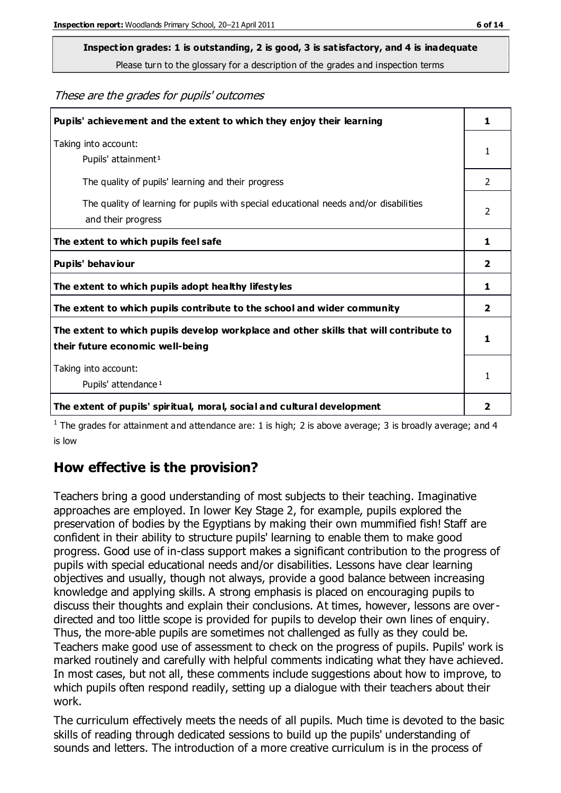## **Inspection grades: 1 is outstanding, 2 is good, 3 is satisfactory, and 4 is inadequate**

Please turn to the glossary for a description of the grades and inspection terms

These are the grades for pupils' outcomes

| Pupils' achievement and the extent to which they enjoy their learning                                                     | 1              |
|---------------------------------------------------------------------------------------------------------------------------|----------------|
| Taking into account:<br>Pupils' attainment <sup>1</sup>                                                                   | 1              |
| The quality of pupils' learning and their progress                                                                        | $\mathcal{P}$  |
| The quality of learning for pupils with special educational needs and/or disabilities<br>and their progress               | $\overline{2}$ |
| The extent to which pupils feel safe                                                                                      | 1              |
| Pupils' behaviour                                                                                                         | 2              |
| The extent to which pupils adopt healthy lifestyles                                                                       | 1              |
| The extent to which pupils contribute to the school and wider community                                                   | 2              |
| The extent to which pupils develop workplace and other skills that will contribute to<br>their future economic well-being |                |
| Taking into account:<br>Pupils' attendance <sup>1</sup>                                                                   |                |
| The extent of pupils' spiritual, moral, social and cultural development                                                   | 2              |

<sup>1</sup> The grades for attainment and attendance are: 1 is high; 2 is above average; 3 is broadly average; and 4 is low

## **How effective is the provision?**

Teachers bring a good understanding of most subjects to their teaching. Imaginative approaches are employed. In lower Key Stage 2, for example, pupils explored the preservation of bodies by the Egyptians by making their own mummified fish! Staff are confident in their ability to structure pupils' learning to enable them to make good progress. Good use of in-class support makes a significant contribution to the progress of pupils with special educational needs and/or disabilities. Lessons have clear learning objectives and usually, though not always, provide a good balance between increasing knowledge and applying skills. A strong emphasis is placed on encouraging pupils to discuss their thoughts and explain their conclusions. At times, however, lessons are overdirected and too little scope is provided for pupils to develop their own lines of enquiry. Thus, the more-able pupils are sometimes not challenged as fully as they could be. Teachers make good use of assessment to check on the progress of pupils. Pupils' work is marked routinely and carefully with helpful comments indicating what they have achieved. In most cases, but not all, these comments include suggestions about how to improve, to which pupils often respond readily, setting up a dialogue with their teachers about their work.

The curriculum effectively meets the needs of all pupils. Much time is devoted to the basic skills of reading through dedicated sessions to build up the pupils' understanding of sounds and letters. The introduction of a more creative curriculum is in the process of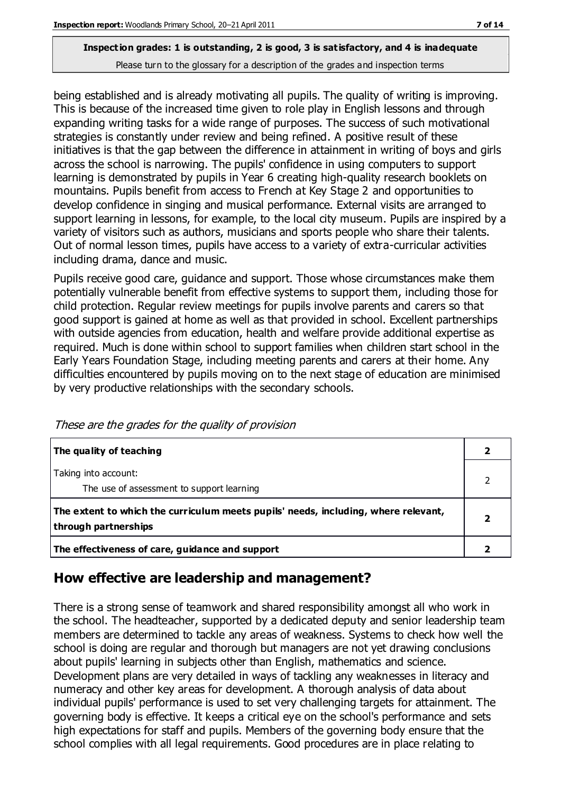being established and is already motivating all pupils. The quality of writing is improving. This is because of the increased time given to role play in English lessons and through expanding writing tasks for a wide range of purposes. The success of such motivational strategies is constantly under review and being refined. A positive result of these initiatives is that the gap between the difference in attainment in writing of boys and girls across the school is narrowing. The pupils' confidence in using computers to support learning is demonstrated by pupils in Year 6 creating high-quality research booklets on mountains. Pupils benefit from access to French at Key Stage 2 and opportunities to develop confidence in singing and musical performance. External visits are arranged to support learning in lessons, for example, to the local city museum. Pupils are inspired by a variety of visitors such as authors, musicians and sports people who share their talents. Out of normal lesson times, pupils have access to a variety of extra-curricular activities including drama, dance and music.

Pupils receive good care, guidance and support. Those whose circumstances make them potentially vulnerable benefit from effective systems to support them, including those for child protection. Regular review meetings for pupils involve parents and carers so that good support is gained at home as well as that provided in school. Excellent partnerships with outside agencies from education, health and welfare provide additional expertise as required. Much is done within school to support families when children start school in the Early Years Foundation Stage, including meeting parents and carers at their home. Any difficulties encountered by pupils moving on to the next stage of education are minimised by very productive relationships with the secondary schools.

| The quality of teaching                                                                                    |  |
|------------------------------------------------------------------------------------------------------------|--|
| Taking into account:<br>The use of assessment to support learning                                          |  |
| The extent to which the curriculum meets pupils' needs, including, where relevant,<br>through partnerships |  |
| The effectiveness of care, guidance and support                                                            |  |

These are the grades for the quality of provision

## **How effective are leadership and management?**

There is a strong sense of teamwork and shared responsibility amongst all who work in the school. The headteacher, supported by a dedicated deputy and senior leadership team members are determined to tackle any areas of weakness. Systems to check how well the school is doing are regular and thorough but managers are not yet drawing conclusions about pupils' learning in subjects other than English, mathematics and science. Development plans are very detailed in ways of tackling any weaknesses in literacy and numeracy and other key areas for development. A thorough analysis of data about individual pupils' performance is used to set very challenging targets for attainment. The governing body is effective. It keeps a critical eye on the school's performance and sets high expectations for staff and pupils. Members of the governing body ensure that the school complies with all legal requirements. Good procedures are in place relating to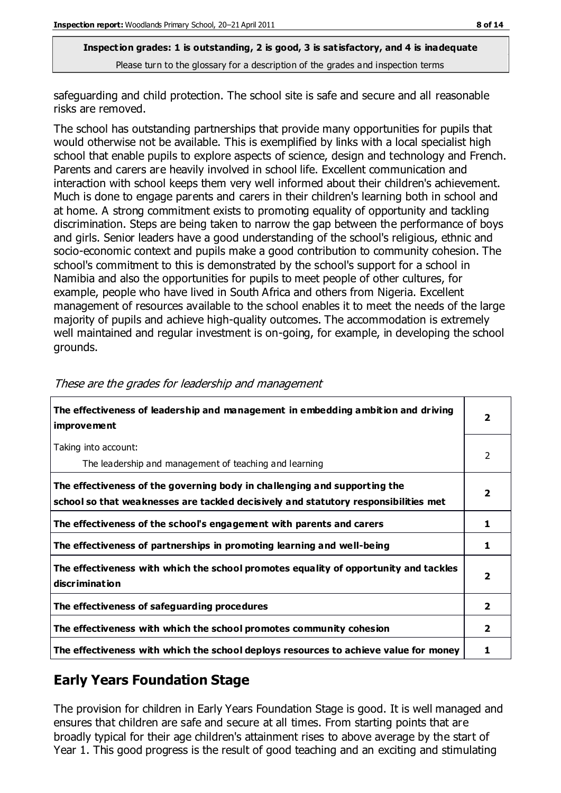safeguarding and child protection. The school site is safe and secure and all reasonable risks are removed.

The school has outstanding partnerships that provide many opportunities for pupils that would otherwise not be available. This is exemplified by links with a local specialist high school that enable pupils to explore aspects of science, design and technology and French. Parents and carers are heavily involved in school life. Excellent communication and interaction with school keeps them very well informed about their children's achievement. Much is done to engage parents and carers in their children's learning both in school and at home. A strong commitment exists to promoting equality of opportunity and tackling discrimination. Steps are being taken to narrow the gap between the performance of boys and girls. Senior leaders have a good understanding of the school's religious, ethnic and socio-economic context and pupils make a good contribution to community cohesion. The school's commitment to this is demonstrated by the school's support for a school in Namibia and also the opportunities for pupils to meet people of other cultures, for example, people who have lived in South Africa and others from Nigeria. Excellent management of resources available to the school enables it to meet the needs of the large majority of pupils and achieve high-quality outcomes. The accommodation is extremely well maintained and regular investment is on-going, for example, in developing the school grounds.

| The effectiveness of leadership and management in embedding ambition and driving<br>improvement                                                                  | $\overline{\mathbf{2}}$ |
|------------------------------------------------------------------------------------------------------------------------------------------------------------------|-------------------------|
| Taking into account:<br>The leadership and management of teaching and learning                                                                                   | 2                       |
| The effectiveness of the governing body in challenging and supporting the<br>school so that weaknesses are tackled decisively and statutory responsibilities met | $\mathbf{2}$            |
| The effectiveness of the school's engagement with parents and carers                                                                                             | 1                       |
| The effectiveness of partnerships in promoting learning and well-being                                                                                           | 1                       |
| The effectiveness with which the school promotes equality of opportunity and tackles<br>discrimination                                                           | $\overline{\mathbf{2}}$ |
| The effectiveness of safeguarding procedures                                                                                                                     | $\overline{2}$          |
| The effectiveness with which the school promotes community cohesion                                                                                              | $\mathbf{2}$            |
| The effectiveness with which the school deploys resources to achieve value for money                                                                             | 1                       |

These are the grades for leadership and management

## **Early Years Foundation Stage**

The provision for children in Early Years Foundation Stage is good. It is well managed and ensures that children are safe and secure at all times. From starting points that are broadly typical for their age children's attainment rises to above average by the start of Year 1. This good progress is the result of good teaching and an exciting and stimulating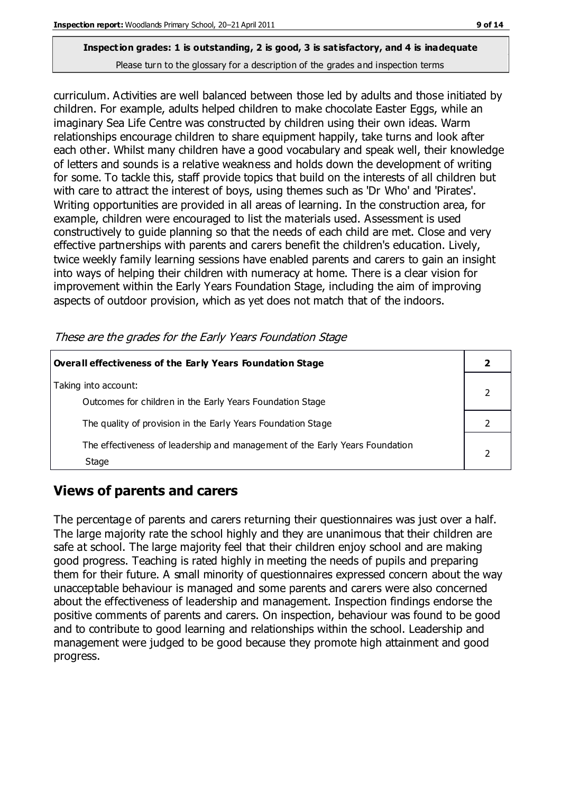curriculum. Activities are well balanced between those led by adults and those initiated by children. For example, adults helped children to make chocolate Easter Eggs, while an imaginary Sea Life Centre was constructed by children using their own ideas. Warm relationships encourage children to share equipment happily, take turns and look after each other. Whilst many children have a good vocabulary and speak well, their knowledge of letters and sounds is a relative weakness and holds down the development of writing for some. To tackle this, staff provide topics that build on the interests of all children but with care to attract the interest of boys, using themes such as 'Dr Who' and 'Pirates'. Writing opportunities are provided in all areas of learning. In the construction area, for example, children were encouraged to list the materials used. Assessment is used constructively to guide planning so that the needs of each child are met. Close and very effective partnerships with parents and carers benefit the children's education. Lively, twice weekly family learning sessions have enabled parents and carers to gain an insight into ways of helping their children with numeracy at home. There is a clear vision for improvement within the Early Years Foundation Stage, including the aim of improving aspects of outdoor provision, which as yet does not match that of the indoors.

These are the grades for the Early Years Foundation Stage

| Overall effectiveness of the Early Years Foundation Stage                             |  |
|---------------------------------------------------------------------------------------|--|
| Taking into account:<br>Outcomes for children in the Early Years Foundation Stage     |  |
| The quality of provision in the Early Years Foundation Stage                          |  |
| The effectiveness of leadership and management of the Early Years Foundation<br>Stage |  |

## **Views of parents and carers**

The percentage of parents and carers returning their questionnaires was just over a half. The large majority rate the school highly and they are unanimous that their children are safe at school. The large majority feel that their children enjoy school and are making good progress. Teaching is rated highly in meeting the needs of pupils and preparing them for their future. A small minority of questionnaires expressed concern about the way unacceptable behaviour is managed and some parents and carers were also concerned about the effectiveness of leadership and management. Inspection findings endorse the positive comments of parents and carers. On inspection, behaviour was found to be good and to contribute to good learning and relationships within the school. Leadership and management were judged to be good because they promote high attainment and good progress.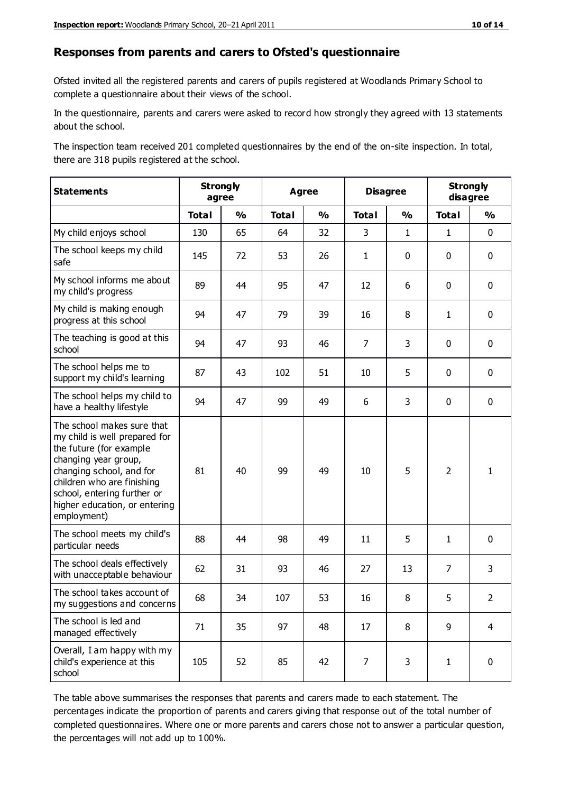#### **Responses from parents and carers to Ofsted's questionnaire**

Ofsted invited all the registered parents and carers of pupils registered at Woodlands Primary School to complete a questionnaire about their views of the school.

In the questionnaire, parents and carers were asked to record how strongly they agreed with 13 statements about the school.

The inspection team received 201 completed questionnaires by the end of the on-site inspection. In total, there are 318 pupils registered at the school.

| <b>Statements</b>                                                                                                                                                                                                                                       |              | <b>Strongly</b><br>agree | <b>Agree</b> |               | <b>Disagree</b> |               | <b>Strongly</b><br>disagree |                |
|---------------------------------------------------------------------------------------------------------------------------------------------------------------------------------------------------------------------------------------------------------|--------------|--------------------------|--------------|---------------|-----------------|---------------|-----------------------------|----------------|
|                                                                                                                                                                                                                                                         | <b>Total</b> | $\frac{0}{0}$            | <b>Total</b> | $\frac{0}{0}$ | <b>Total</b>    | $\frac{0}{0}$ | <b>Total</b>                | $\frac{0}{0}$  |
| My child enjoys school                                                                                                                                                                                                                                  | 130          | 65                       | 64           | 32            | 3               | $\mathbf{1}$  | $\mathbf{1}$                | $\mathbf 0$    |
| The school keeps my child<br>safe                                                                                                                                                                                                                       | 145          | 72                       | 53           | 26            | $\mathbf{1}$    | $\mathbf 0$   | $\mathbf 0$                 | $\mathbf 0$    |
| My school informs me about<br>my child's progress                                                                                                                                                                                                       | 89           | 44                       | 95           | 47            | 12              | 6             | $\mathbf 0$                 | $\mathbf 0$    |
| My child is making enough<br>progress at this school                                                                                                                                                                                                    | 94           | 47                       | 79           | 39            | 16              | 8             | $\mathbf{1}$                | $\mathbf 0$    |
| The teaching is good at this<br>school                                                                                                                                                                                                                  | 94           | 47                       | 93           | 46            | $\overline{7}$  | 3             | $\mathbf 0$                 | $\mathbf 0$    |
| The school helps me to<br>support my child's learning                                                                                                                                                                                                   | 87           | 43                       | 102          | 51            | 10              | 5             | $\mathbf 0$                 | $\mathbf 0$    |
| The school helps my child to<br>have a healthy lifestyle                                                                                                                                                                                                | 94           | 47                       | 99           | 49            | 6               | 3             | $\mathbf 0$                 | $\mathbf 0$    |
| The school makes sure that<br>my child is well prepared for<br>the future (for example<br>changing year group,<br>changing school, and for<br>children who are finishing<br>school, entering further or<br>higher education, or entering<br>employment) | 81           | 40                       | 99           | 49            | 10              | 5             | $\overline{2}$              | $\mathbf{1}$   |
| The school meets my child's<br>particular needs                                                                                                                                                                                                         | 88           | 44                       | 98           | 49            | 11              | 5             | $\mathbf{1}$                | $\mathbf 0$    |
| The school deals effectively<br>with unacceptable behaviour                                                                                                                                                                                             | 62           | 31                       | 93           | 46            | 27              | 13            | $\overline{7}$              | 3              |
| The school takes account of<br>my suggestions and concerns                                                                                                                                                                                              | 68           | 34                       | 107          | 53            | 16              | 8             | 5                           | $\overline{2}$ |
| The school is led and<br>managed effectively                                                                                                                                                                                                            | 71           | 35                       | 97           | 48            | 17              | 8             | 9                           | $\overline{4}$ |
| Overall, I am happy with my<br>child's experience at this<br>school                                                                                                                                                                                     | 105          | 52                       | 85           | 42            | $\overline{7}$  | 3             | $\mathbf{1}$                | $\pmb{0}$      |

The table above summarises the responses that parents and carers made to each statement. The percentages indicate the proportion of parents and carers giving that response out of the total number of completed questionnaires. Where one or more parents and carers chose not to answer a particular question, the percentages will not add up to 100%.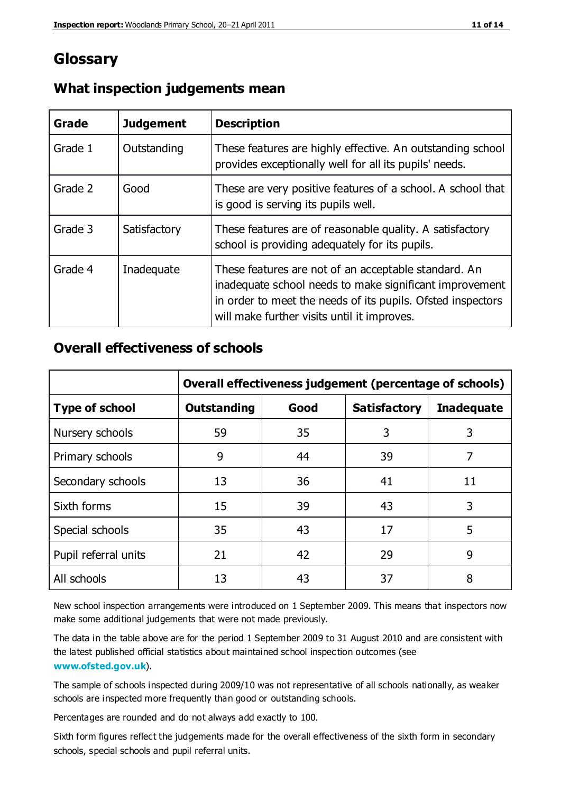## **Glossary**

| Grade   | <b>Judgement</b> | <b>Description</b>                                                                                                                                                                                                            |
|---------|------------------|-------------------------------------------------------------------------------------------------------------------------------------------------------------------------------------------------------------------------------|
| Grade 1 | Outstanding      | These features are highly effective. An outstanding school<br>provides exceptionally well for all its pupils' needs.                                                                                                          |
| Grade 2 | Good             | These are very positive features of a school. A school that<br>is good is serving its pupils well.                                                                                                                            |
| Grade 3 | Satisfactory     | These features are of reasonable quality. A satisfactory<br>school is providing adequately for its pupils.                                                                                                                    |
| Grade 4 | Inadequate       | These features are not of an acceptable standard. An<br>inadequate school needs to make significant improvement<br>in order to meet the needs of its pupils. Ofsted inspectors<br>will make further visits until it improves. |

#### **What inspection judgements mean**

### **Overall effectiveness of schools**

|                       | Overall effectiveness judgement (percentage of schools) |      |                     |                   |
|-----------------------|---------------------------------------------------------|------|---------------------|-------------------|
| <b>Type of school</b> | <b>Outstanding</b>                                      | Good | <b>Satisfactory</b> | <b>Inadequate</b> |
| Nursery schools       | 59                                                      | 35   | 3                   | 3                 |
| Primary schools       | 9                                                       | 44   | 39                  | 7                 |
| Secondary schools     | 13                                                      | 36   | 41                  | 11                |
| Sixth forms           | 15                                                      | 39   | 43                  | 3                 |
| Special schools       | 35                                                      | 43   | 17                  | 5                 |
| Pupil referral units  | 21                                                      | 42   | 29                  | 9                 |
| All schools           | 13                                                      | 43   | 37                  | 8                 |

New school inspection arrangements were introduced on 1 September 2009. This means that inspectors now make some additional judgements that were not made previously.

The data in the table above are for the period 1 September 2009 to 31 August 2010 and are consistent with the latest published official statistics about maintained school inspec tion outcomes (see **[www.ofsted.gov.uk](http://www.ofsted.gov.uk/)**).

The sample of schools inspected during 2009/10 was not representative of all schools nationally, as weaker schools are inspected more frequently than good or outstanding schools.

Percentages are rounded and do not always add exactly to 100.

Sixth form figures reflect the judgements made for the overall effectiveness of the sixth form in secondary schools, special schools and pupil referral units.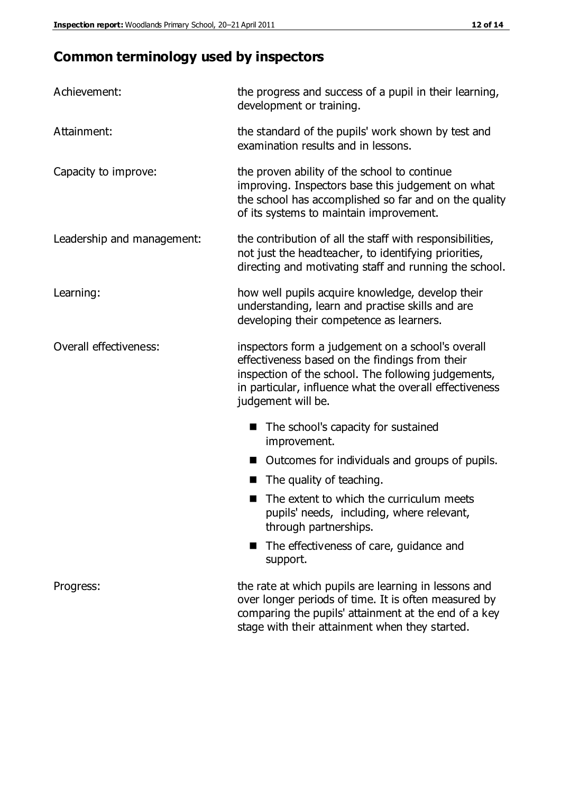## **Common terminology used by inspectors**

| Achievement:                  | the progress and success of a pupil in their learning,<br>development or training.                                                                                                                                                          |  |  |
|-------------------------------|---------------------------------------------------------------------------------------------------------------------------------------------------------------------------------------------------------------------------------------------|--|--|
| Attainment:                   | the standard of the pupils' work shown by test and<br>examination results and in lessons.                                                                                                                                                   |  |  |
| Capacity to improve:          | the proven ability of the school to continue<br>improving. Inspectors base this judgement on what<br>the school has accomplished so far and on the quality<br>of its systems to maintain improvement.                                       |  |  |
| Leadership and management:    | the contribution of all the staff with responsibilities,<br>not just the headteacher, to identifying priorities,<br>directing and motivating staff and running the school.                                                                  |  |  |
| Learning:                     | how well pupils acquire knowledge, develop their<br>understanding, learn and practise skills and are<br>developing their competence as learners.                                                                                            |  |  |
| <b>Overall effectiveness:</b> | inspectors form a judgement on a school's overall<br>effectiveness based on the findings from their<br>inspection of the school. The following judgements,<br>in particular, influence what the overall effectiveness<br>judgement will be. |  |  |
|                               | The school's capacity for sustained<br>improvement.                                                                                                                                                                                         |  |  |
|                               | Outcomes for individuals and groups of pupils.                                                                                                                                                                                              |  |  |
|                               | The quality of teaching.                                                                                                                                                                                                                    |  |  |
|                               | The extent to which the curriculum meets<br>pupils' needs, including, where relevant,<br>through partnerships.                                                                                                                              |  |  |
|                               | The effectiveness of care, guidance and<br>support.                                                                                                                                                                                         |  |  |
| Progress:                     | the rate at which pupils are learning in lessons and<br>over longer periods of time. It is often measured by<br>comparing the pupils' attainment at the end of a key                                                                        |  |  |

stage with their attainment when they started.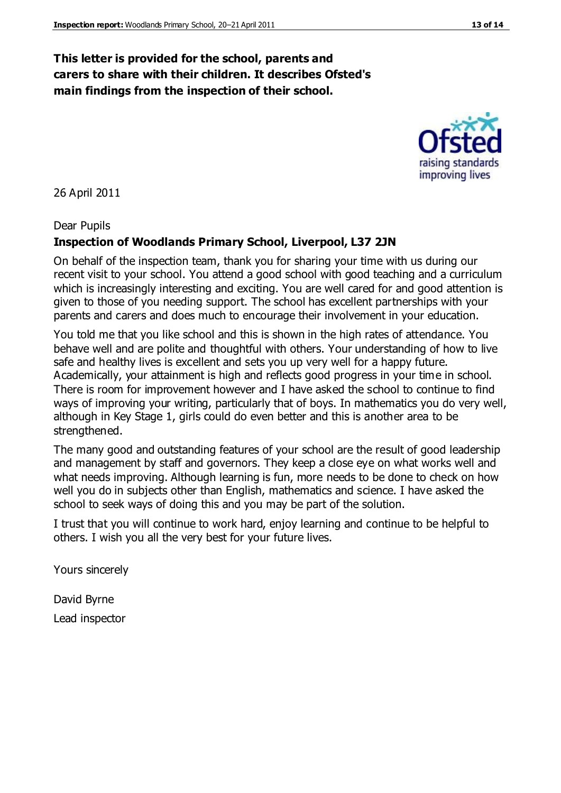### **This letter is provided for the school, parents and carers to share with their children. It describes Ofsted's main findings from the inspection of their school.**

26 April 2011

#### Dear Pupils

#### **Inspection of Woodlands Primary School, Liverpool, L37 2JN**

On behalf of the inspection team, thank you for sharing your time with us during our recent visit to your school. You attend a good school with good teaching and a curriculum which is increasingly interesting and exciting. You are well cared for and good attention is given to those of you needing support. The school has excellent partnerships with your parents and carers and does much to encourage their involvement in your education.

You told me that you like school and this is shown in the high rates of attendance. You behave well and are polite and thoughtful with others. Your understanding of how to live safe and healthy lives is excellent and sets you up very well for a happy future. Academically, your attainment is high and reflects good progress in your time in school. There is room for improvement however and I have asked the school to continue to find ways of improving your writing, particularly that of boys. In mathematics you do very well, although in Key Stage 1, girls could do even better and this is another area to be strengthened.

The many good and outstanding features of your school are the result of good leadership and management by staff and governors. They keep a close eye on what works well and what needs improving. Although learning is fun, more needs to be done to check on how well you do in subjects other than English, mathematics and science. I have asked the school to seek ways of doing this and you may be part of the solution.

I trust that you will continue to work hard, enjoy learning and continue to be helpful to others. I wish you all the very best for your future lives.

Yours sincerely

David Byrne Lead inspector